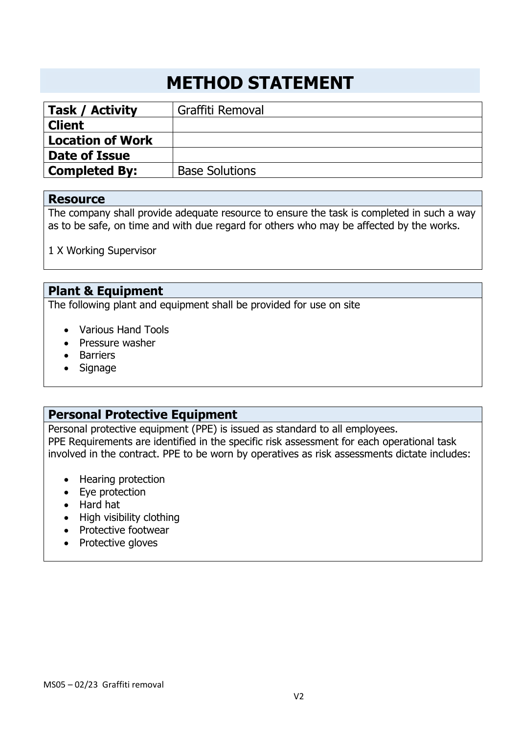# **METHOD STATEMENT**

| Task / Activity         | Graffiti Removal      |
|-------------------------|-----------------------|
| <b>Client</b>           |                       |
| <b>Location of Work</b> |                       |
| Date of Issue           |                       |
| <b>Completed By:</b>    | <b>Base Solutions</b> |

#### **Resource**

The company shall provide adequate resource to ensure the task is completed in such a way as to be safe, on time and with due regard for others who may be affected by the works.

1 X Working Supervisor

# **Plant & Equipment**

The following plant and equipment shall be provided for use on site

- Various Hand Tools
- Pressure washer
- Barriers
- Signage

## **Personal Protective Equipment**

Personal protective equipment (PPE) is issued as standard to all employees. PPE Requirements are identified in the specific risk assessment for each operational task involved in the contract. PPE to be worn by operatives as risk assessments dictate includes:

- Hearing protection
- Eye protection
- Hard hat
- High visibility clothing
- Protective footwear
- Protective gloves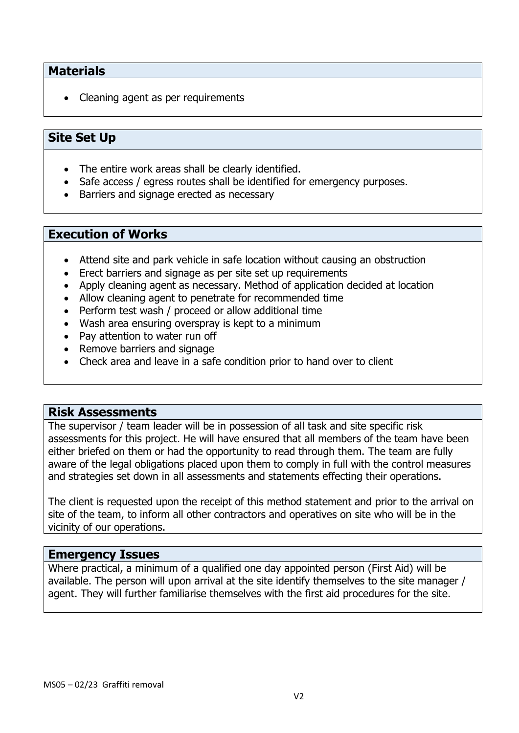## **Materials**

• Cleaning agent as per requirements

## **Site Set Up**

- The entire work areas shall be clearly identified.
- Safe access / egress routes shall be identified for emergency purposes.
- Barriers and signage erected as necessary

#### **Execution of Works**

- Attend site and park vehicle in safe location without causing an obstruction
- Erect barriers and signage as per site set up requirements
- Apply cleaning agent as necessary. Method of application decided at location
- Allow cleaning agent to penetrate for recommended time
- Perform test wash / proceed or allow additional time
- Wash area ensuring overspray is kept to a minimum
- Pay attention to water run off
- Remove barriers and signage
- Check area and leave in a safe condition prior to hand over to client

#### **Risk Assessments**

The supervisor / team leader will be in possession of all task and site specific risk assessments for this project. He will have ensured that all members of the team have been either briefed on them or had the opportunity to read through them. The team are fully aware of the legal obligations placed upon them to comply in full with the control measures and strategies set down in all assessments and statements effecting their operations.

The client is requested upon the receipt of this method statement and prior to the arrival on site of the team, to inform all other contractors and operatives on site who will be in the vicinity of our operations.

#### **Emergency Issues**

Where practical, a minimum of a qualified one day appointed person (First Aid) will be available. The person will upon arrival at the site identify themselves to the site manager / agent. They will further familiarise themselves with the first aid procedures for the site.